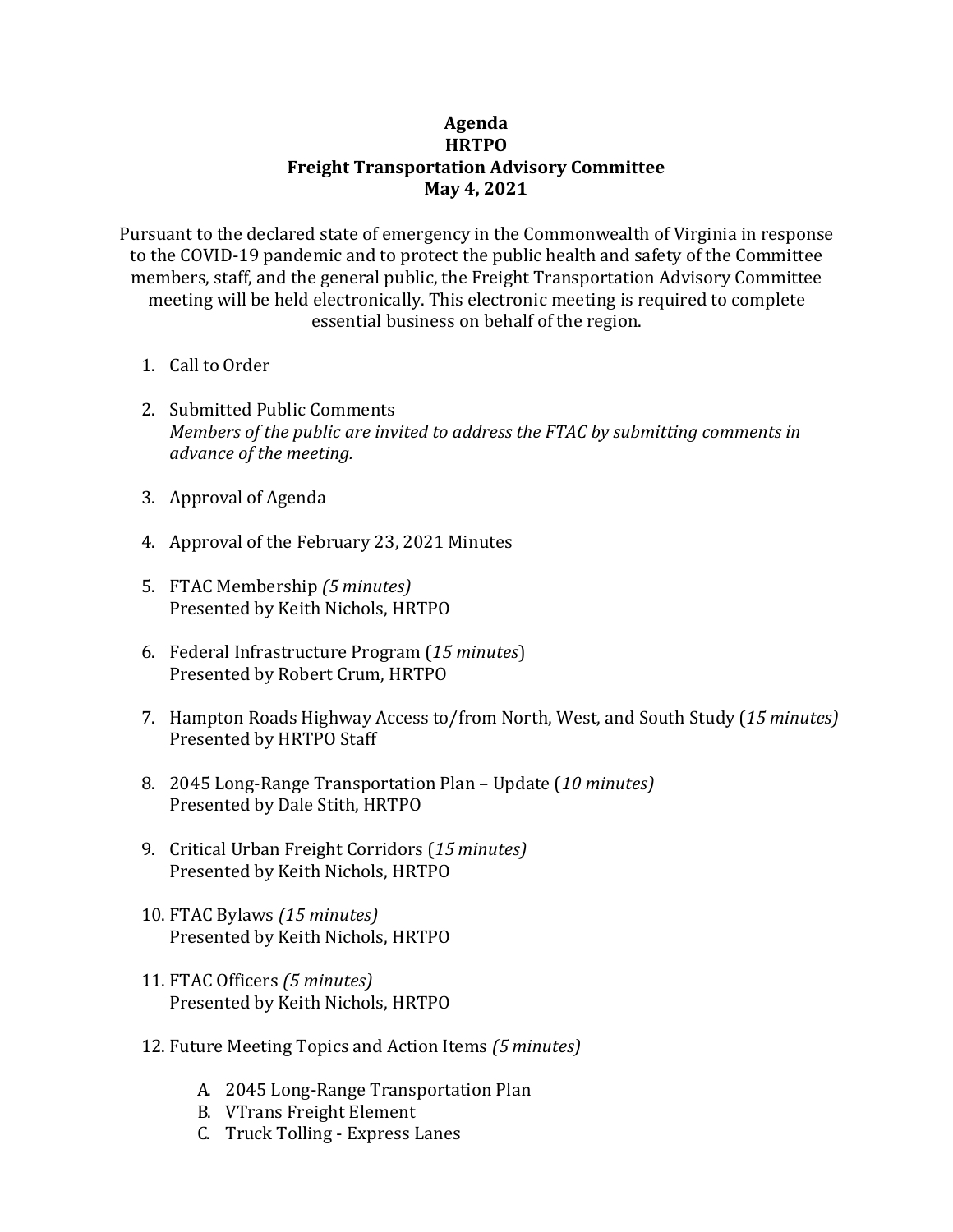## **Agenda HRTPO Freight Transportation Advisory Committee May 4, 2021**

Pursuant to the declared state of emergency in the Commonwealth of Virginia in response to the COVID-19 pandemic and to protect the public health and safety of the Committee members, staff, and the general public, the Freight Transportation Advisory Committee meeting will be held electronically. This electronic meeting is required to complete essential business on behalf of the region.

- 1. Call to Order
- 2. Submitted Public Comments *Members of the public are invited to address the FTAC by submitting comments in advance of the meeting.*
- 3. Approval of Agenda
- 4. Approval of the February 23, 2021 Minutes
- 5. FTAC Membership *(5 minutes)* Presented by Keith Nichols, HRTPO
- 6. Federal Infrastructure Program (*15 minutes*) Presented by Robert Crum, HRTPO
- 7. Hampton Roads Highway Access to/from North, West, and South Study (*15 minutes)* Presented by HRTPO Staff
- 8. 2045 Long-Range Transportation Plan Update (*10 minutes)* Presented by Dale Stith, HRTPO
- 9. Critical Urban Freight Corridors (*15 minutes)* Presented by Keith Nichols, HRTPO
- 10. FTAC Bylaws *(15 minutes)* Presented by Keith Nichols, HRTPO
- 11. FTAC Officers *(5 minutes)* Presented by Keith Nichols, HRTPO
- 12. Future Meeting Topics and Action Items *(5 minutes)*
	- A. 2045 Long-Range Transportation Plan
	- B. VTrans Freight Element
	- C. Truck Tolling Express Lanes